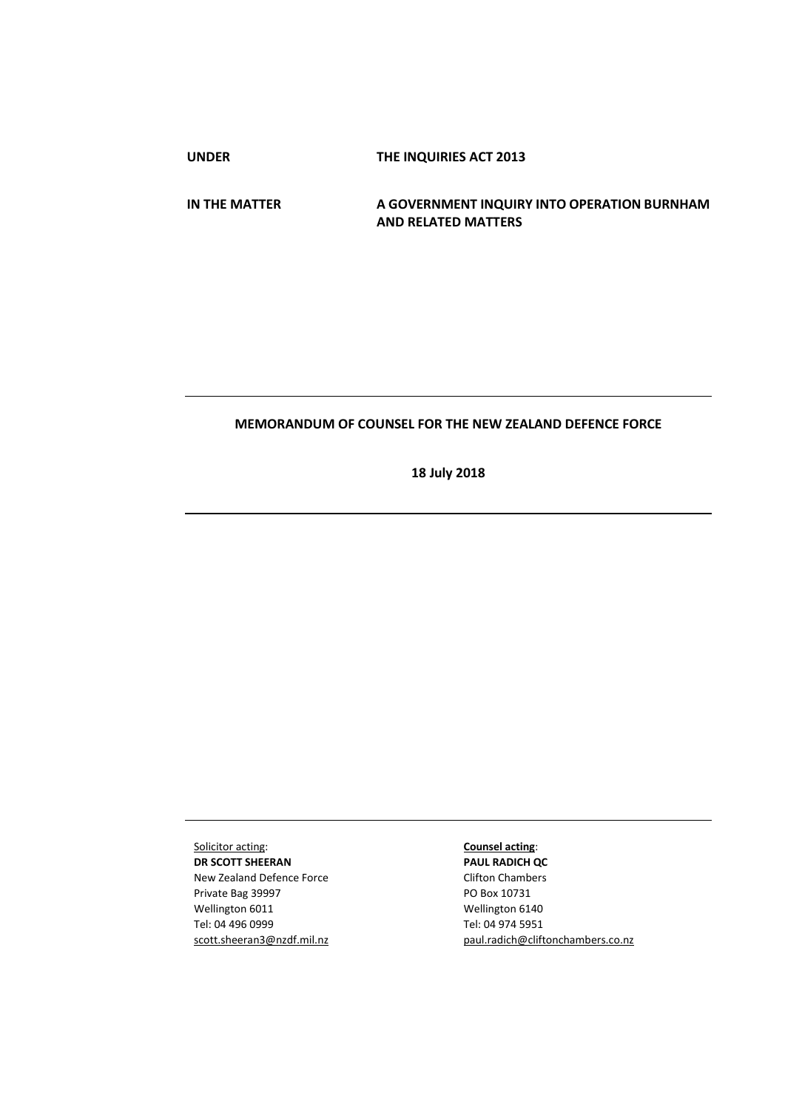**UNDER THE INQUIRIES ACT 2013**

**IN THE MATTER A GOVERNMENT INQUIRY INTO OPERATION BURNHAM AND RELATED MATTERS**

# **MEMORANDUM OF COUNSEL FOR THE NEW ZEALAND DEFENCE FORCE**

**18 July 2018**

Solicitor acting: **DR SCOTT SHEERAN** New Zealand Defence Force Private Bag 39997 Wellington 6011 Tel: 04 496 0999 scott.sheeran3@nzdf.mil.nz

## **Counsel acting**:

**PAUL RADICH QC** Clifton Chambers PO Box 10731 Wellington 6140 Tel: 04 974 5951 [paul.radich@cliftonchambers.co.nz](mailto:paul.radich@cliftonchambers.co.nz)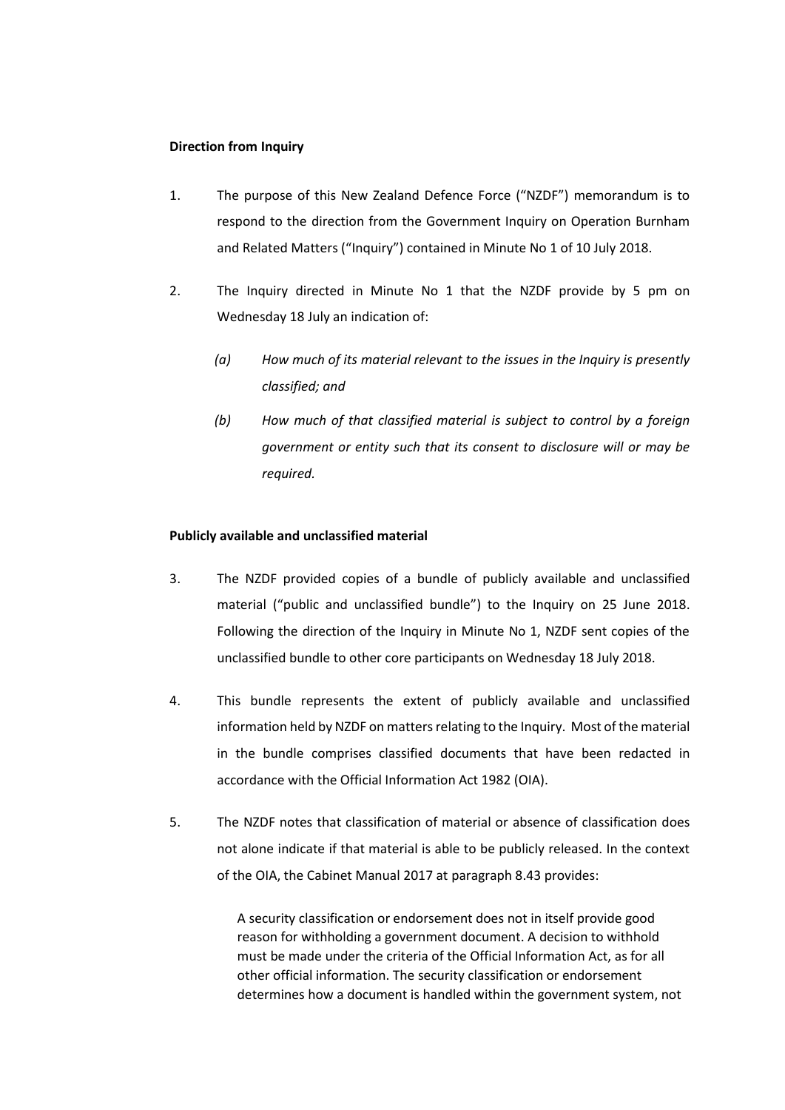# **Direction from Inquiry**

- 1. The purpose of this New Zealand Defence Force ("NZDF") memorandum is to respond to the direction from the Government Inquiry on Operation Burnham and Related Matters ("Inquiry") contained in Minute No 1 of 10 July 2018.
- 2. The Inquiry directed in Minute No 1 that the NZDF provide by 5 pm on Wednesday 18 July an indication of:
	- *(a) How much of its material relevant to the issues in the Inquiry is presently classified; and*
	- *(b) How much of that classified material is subject to control by a foreign government or entity such that its consent to disclosure will or may be required.*

### **Publicly available and unclassified material**

- 3. The NZDF provided copies of a bundle of publicly available and unclassified material ("public and unclassified bundle") to the Inquiry on 25 June 2018. Following the direction of the Inquiry in Minute No 1, NZDF sent copies of the unclassified bundle to other core participants on Wednesday 18 July 2018.
- 4. This bundle represents the extent of publicly available and unclassified information held by NZDF on matters relating to the Inquiry. Most of the material in the bundle comprises classified documents that have been redacted in accordance with the Official Information Act 1982 (OIA).
- 5. The NZDF notes that classification of material or absence of classification does not alone indicate if that material is able to be publicly released. In the context of the OIA, the Cabinet Manual 2017 at paragraph 8.43 provides:

A security classification or endorsement does not in itself provide good reason for withholding a government document. A decision to withhold must be made under the criteria of the Official Information Act, as for all other official information. The security classification or endorsement determines how a document is handled within the government system, not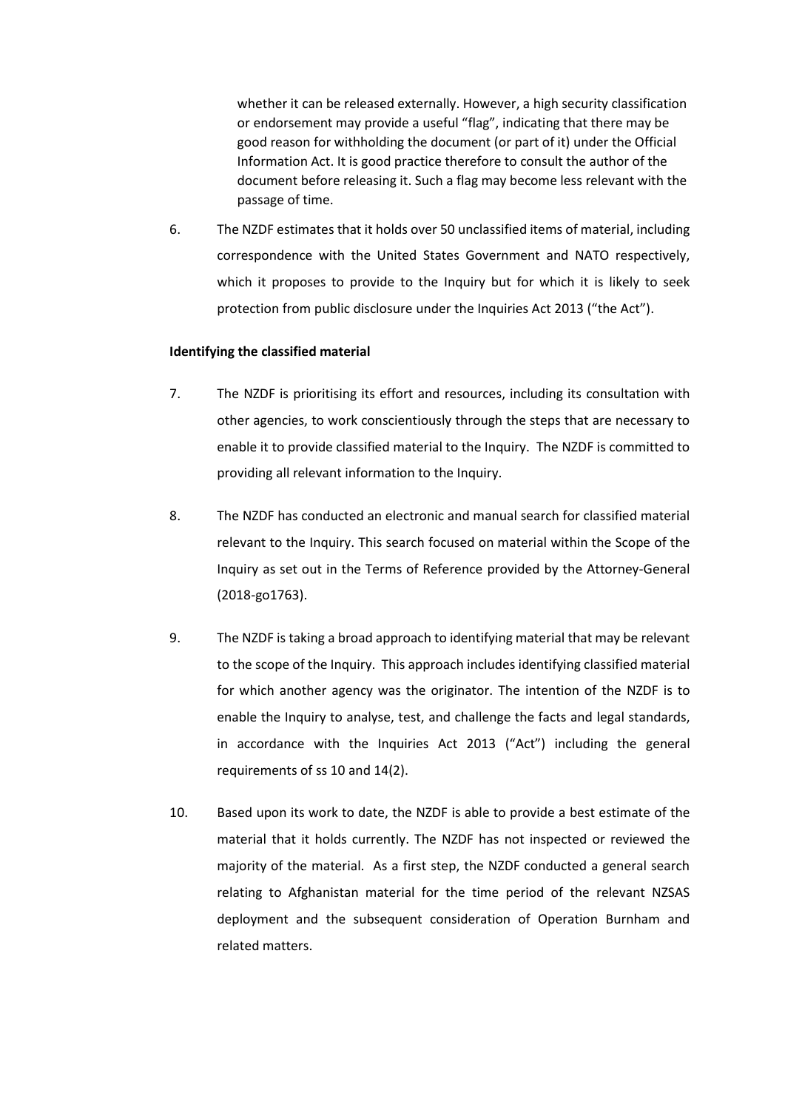whether it can be released externally. However, a high security classification or endorsement may provide a useful "flag", indicating that there may be good reason for withholding the document (or part of it) under the Official Information Act. It is good practice therefore to consult the author of the document before releasing it. Such a flag may become less relevant with the passage of time.

6. The NZDF estimates that it holds over 50 unclassified items of material, including correspondence with the United States Government and NATO respectively, which it proposes to provide to the Inquiry but for which it is likely to seek protection from public disclosure under the Inquiries Act 2013 ("the Act").

## **Identifying the classified material**

- 7. The NZDF is prioritising its effort and resources, including its consultation with other agencies, to work conscientiously through the steps that are necessary to enable it to provide classified material to the Inquiry. The NZDF is committed to providing all relevant information to the Inquiry.
- 8. The NZDF has conducted an electronic and manual search for classified material relevant to the Inquiry. This search focused on material within the Scope of the Inquiry as set out in the Terms of Reference provided by the Attorney-General (2018-go1763).
- 9. The NZDF is taking a broad approach to identifying material that may be relevant to the scope of the Inquiry. This approach includes identifying classified material for which another agency was the originator. The intention of the NZDF is to enable the Inquiry to analyse, test, and challenge the facts and legal standards, in accordance with the Inquiries Act 2013 ("Act") including the general requirements of ss 10 and 14(2).
- 10. Based upon its work to date, the NZDF is able to provide a best estimate of the material that it holds currently. The NZDF has not inspected or reviewed the majority of the material. As a first step, the NZDF conducted a general search relating to Afghanistan material for the time period of the relevant NZSAS deployment and the subsequent consideration of Operation Burnham and related matters.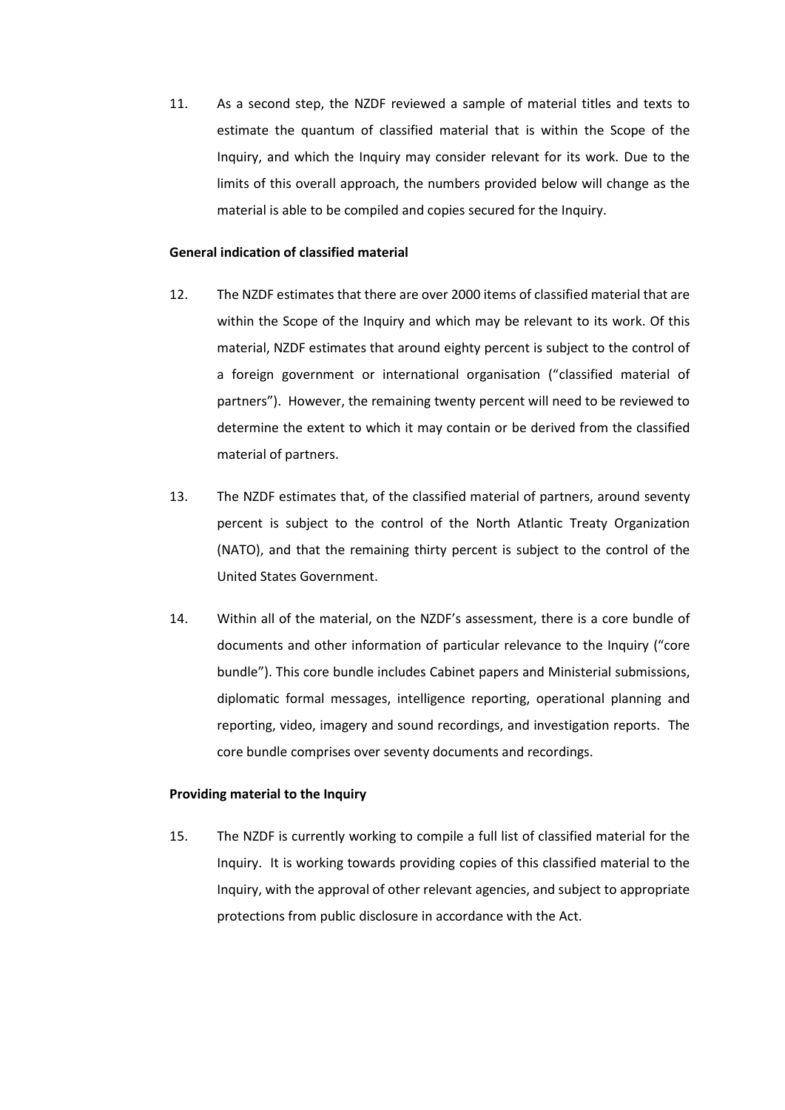11. As a second step, the NZDF reviewed a sample of material titles and texts to estimate the quantum of classified material that is within the Scope of the Inquiry, and which the Inquiry may consider relevant for its work. Due to the limits of this overall approach, the numbers provided below will change as the material is able to be compiled and copies secured for the Inquiry.

## **General indication of classified material**

- 12. The NZDF estimates that there are over 2000 items of classified material that are within the Scope of the Inquiry and which may be relevant to its work. Of this material, NZDF estimates that around eighty percent is subject to the control of a foreign government or international organisation ("classified material of partners"). However, the remaining twenty percent will need to be reviewed to determine the extent to which it may contain or be derived from the classified material of partners.
- 13. The NZDF estimates that, of the classified material of partners, around seventy percent is subject to the control of the North Atlantic Treaty Organization (NATO), and that the remaining thirty percent is subject to the control of the United States Government.
- 14. Within all of the material, on the NZDF's assessment, there is a core bundle of documents and other information of particular relevance to the Inquiry ("core bundle"). This core bundle includes Cabinet papers and Ministerial submissions, diplomatic formal messages, intelligence reporting, operational planning and reporting, video, imagery and sound recordings, and investigation reports. The core bundle comprises over seventy documents and recordings.

## **Providing material to the Inquiry**

15. The NZDF is currently working to compile a full list of classified material for the Inquiry. It is working towards providing copies of this classified material to the Inquiry, with the approval of other relevant agencies, and subject to appropriate protections from public disclosure in accordance with the Act.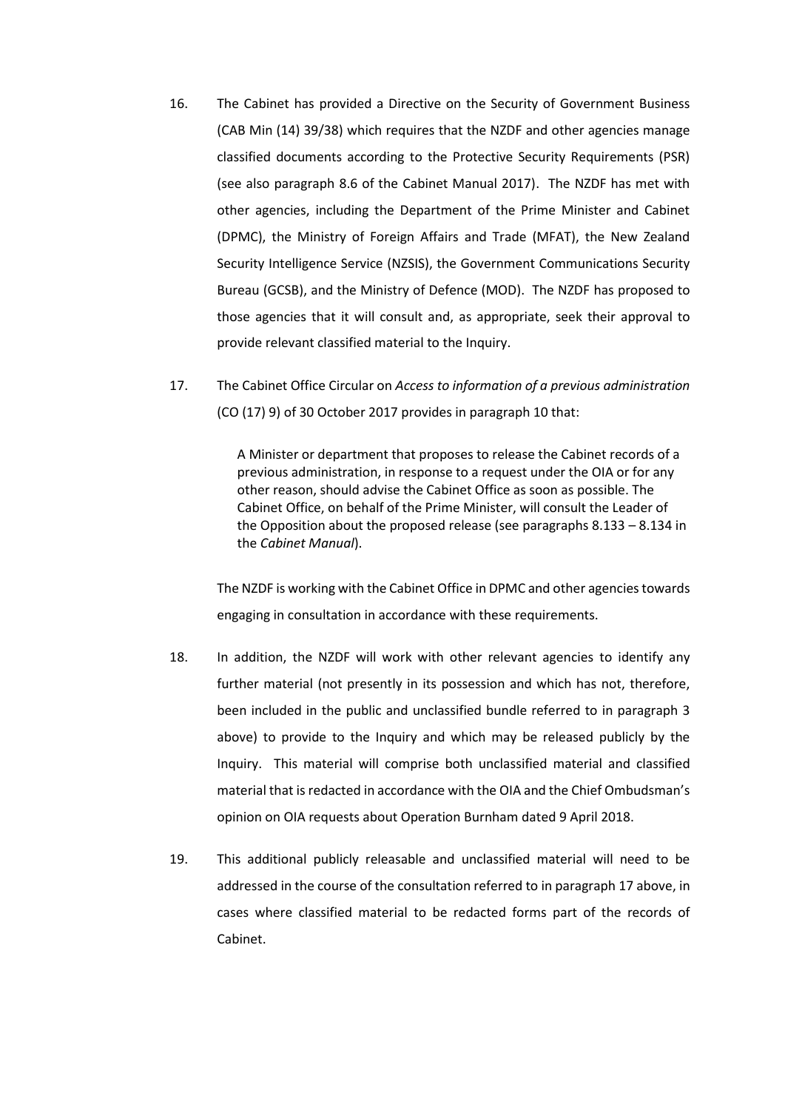- 16. The Cabinet has provided a Directive on the Security of Government Business (CAB Min (14) 39/38) which requires that the NZDF and other agencies manage classified documents according to the Protective Security Requirements (PSR) (see also paragraph 8.6 of the Cabinet Manual 2017). The NZDF has met with other agencies, including the Department of the Prime Minister and Cabinet (DPMC), the Ministry of Foreign Affairs and Trade (MFAT), the New Zealand Security Intelligence Service (NZSIS), the Government Communications Security Bureau (GCSB), and the Ministry of Defence (MOD). The NZDF has proposed to those agencies that it will consult and, as appropriate, seek their approval to provide relevant classified material to the Inquiry.
- 17. The Cabinet Office Circular on *Access to information of a previous administration* (CO (17) 9) of 30 October 2017 provides in paragraph 10 that:

A Minister or department that proposes to release the Cabinet records of a previous administration, in response to a request under the OIA or for any other reason, should advise the Cabinet Office as soon as possible. The Cabinet Office, on behalf of the Prime Minister, will consult the Leader of the Opposition about the proposed release (see paragraphs 8.133 – 8.134 in the *Cabinet Manual*).

The NZDF is working with the Cabinet Office in DPMC and other agencies towards engaging in consultation in accordance with these requirements.

- 18. In addition, the NZDF will work with other relevant agencies to identify any further material (not presently in its possession and which has not, therefore, been included in the public and unclassified bundle referred to in paragraph 3 above) to provide to the Inquiry and which may be released publicly by the Inquiry. This material will comprise both unclassified material and classified material that is redacted in accordance with the OIA and the Chief Ombudsman's opinion on OIA requests about Operation Burnham dated 9 April 2018.
- 19. This additional publicly releasable and unclassified material will need to be addressed in the course of the consultation referred to in paragraph 17 above, in cases where classified material to be redacted forms part of the records of Cabinet.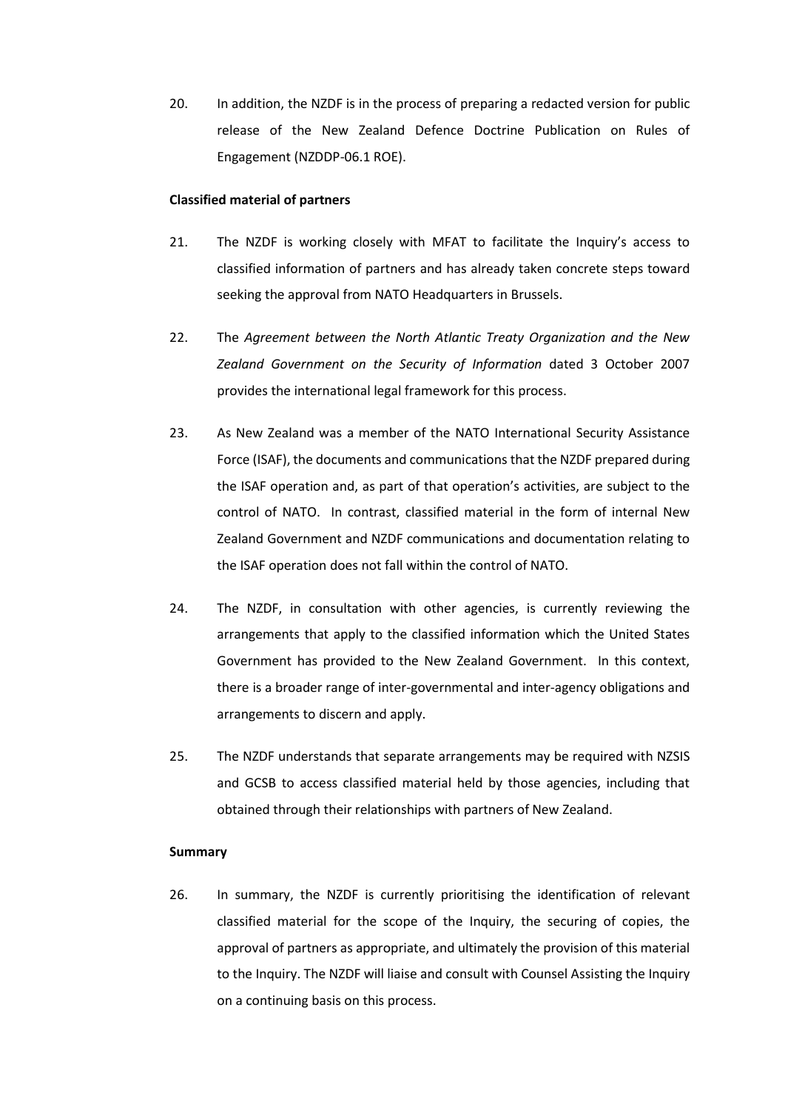20. In addition, the NZDF is in the process of preparing a redacted version for public release of the New Zealand Defence Doctrine Publication on Rules of Engagement (NZDDP-06.1 ROE).

### **Classified material of partners**

- 21. The NZDF is working closely with MFAT to facilitate the Inquiry's access to classified information of partners and has already taken concrete steps toward seeking the approval from NATO Headquarters in Brussels.
- 22. The *Agreement between the North Atlantic Treaty Organization and the New Zealand Government on the Security of Information* dated 3 October 2007 provides the international legal framework for this process.
- 23. As New Zealand was a member of the NATO International Security Assistance Force (ISAF), the documents and communications that the NZDF prepared during the ISAF operation and, as part of that operation's activities, are subject to the control of NATO. In contrast, classified material in the form of internal New Zealand Government and NZDF communications and documentation relating to the ISAF operation does not fall within the control of NATO.
- 24. The NZDF, in consultation with other agencies, is currently reviewing the arrangements that apply to the classified information which the United States Government has provided to the New Zealand Government. In this context, there is a broader range of inter-governmental and inter-agency obligations and arrangements to discern and apply.
- 25. The NZDF understands that separate arrangements may be required with NZSIS and GCSB to access classified material held by those agencies, including that obtained through their relationships with partners of New Zealand.

### **Summary**

26. In summary, the NZDF is currently prioritising the identification of relevant classified material for the scope of the Inquiry, the securing of copies, the approval of partners as appropriate, and ultimately the provision of this material to the Inquiry. The NZDF will liaise and consult with Counsel Assisting the Inquiry on a continuing basis on this process.